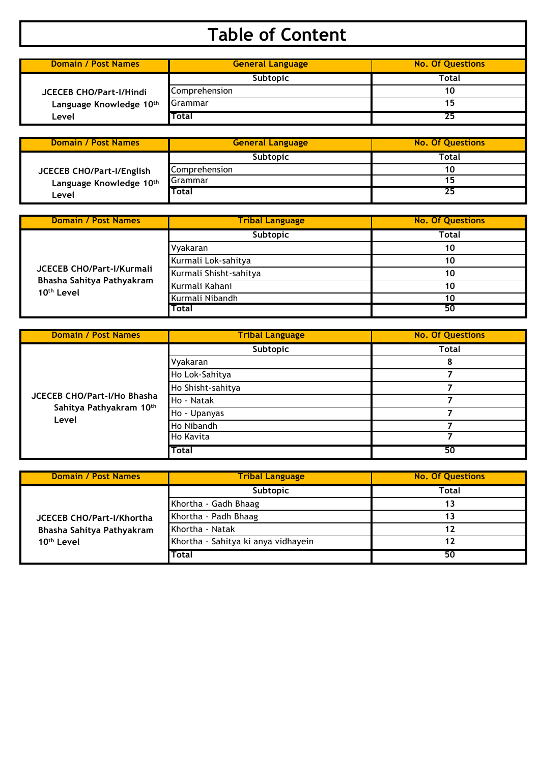## **Table of Content**

| <b>Domain / Post Names</b>                                         | <b>General Language</b> | <b>No. Of Questions</b> |
|--------------------------------------------------------------------|-------------------------|-------------------------|
|                                                                    | <b>Subtopic</b>         | Total                   |
| <b>JCECEB CHO/Part-I/Hindi</b><br>Language Knowledge 10th<br>Level | Comprehension           |                         |
|                                                                    | Grammar                 |                         |
|                                                                    | Total                   |                         |

| <b>Domain / Post Names</b>                           | <b>General Language</b> | <b>No. Of Questions</b> |
|------------------------------------------------------|-------------------------|-------------------------|
|                                                      | <b>Subtopic</b>         | Total                   |
| JCECEB CHO/Part-I/English<br>Language Knowledge 10th | Comprehension           |                         |
|                                                      | Grammar                 |                         |
| Level                                                | <b>Total</b>            | 25                      |

| <b>Domain / Post Names</b>                                                              | <b>Tribal Language</b> | <b>No. Of Questions</b> |
|-----------------------------------------------------------------------------------------|------------------------|-------------------------|
|                                                                                         | Subtopic               | Total                   |
|                                                                                         | Vyakaran               | 10                      |
| <b>JCECEB CHO/Part-I/Kurmali</b><br>Bhasha Sahitya Pathyakram<br>10 <sup>th</sup> Level | Kurmali Lok-sahitya    | 10                      |
|                                                                                         | Kurmali Shisht-sahitya | 10                      |
|                                                                                         | Kurmali Kahani         | 10                      |
|                                                                                         | Kurmali Nibandh        | 10                      |
|                                                                                         | Total                  | 50                      |

| <b>Domain / Post Names</b>       | <b>Tribal Language</b> | <b>No. Of Questions</b> |
|----------------------------------|------------------------|-------------------------|
|                                  | Subtopic               | Total                   |
|                                  | Vyakaran               | 8                       |
|                                  | Ho Lok-Sahitya         |                         |
|                                  | Ho Shisht-sahitya      |                         |
| JCECEB CHO/Part-I/Ho Bhasha      | Ho - Natak             |                         |
| Sahitya Pathyakram 10th<br>Level | Ho - Upanyas           |                         |
|                                  | Ho Nibandh             |                         |
|                                  | <b>Ho Kavita</b>       |                         |
|                                  | Total                  | 50                      |

| <b>Domain / Post Names</b>                                                              | <b>Tribal Language</b>              | <b>No. Of Questions</b> |
|-----------------------------------------------------------------------------------------|-------------------------------------|-------------------------|
|                                                                                         | <b>Subtopic</b>                     | <b>Total</b>            |
|                                                                                         | Khortha - Gadh Bhaag                | 13                      |
| <b>JCECEB CHO/Part-I/Khortha</b><br>Bhasha Sahitya Pathyakram<br>10 <sup>th</sup> Level | Khortha - Padh Bhaag                | 13                      |
|                                                                                         | Khortha - Natak                     | 12                      |
|                                                                                         | Khortha - Sahitya ki anya vidhayein | 12                      |
|                                                                                         | <b>Total</b>                        | 50                      |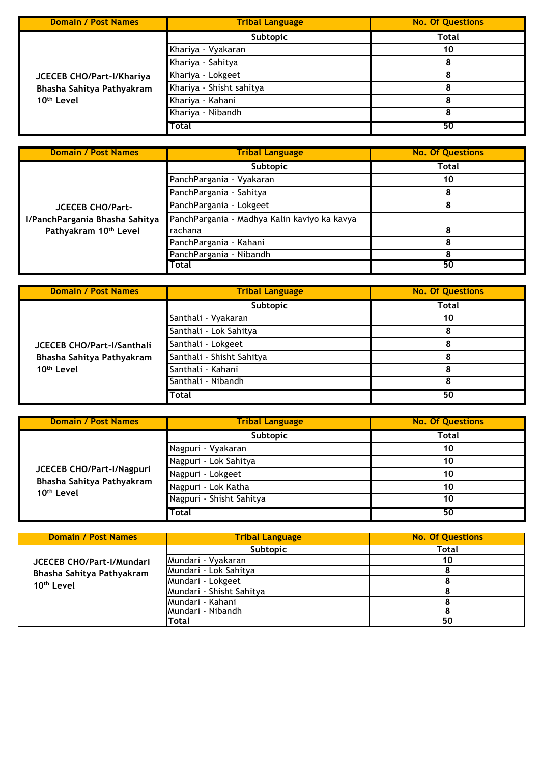| <b>Domain / Post Names</b> | <b>Tribal Language</b>   | <b>No. Of Questions</b> |
|----------------------------|--------------------------|-------------------------|
|                            | Subtopic                 | Total                   |
|                            | Khariya - Vyakaran       | 10                      |
| JCECEB CHO/Part-I/Khariya  | Khariya - Sahitya        |                         |
|                            | Khariya - Lokgeet        |                         |
| Bhasha Sahitya Pathyakram  | Khariya - Shisht sahitya |                         |
| 10 <sup>th</sup> Level     | Khariya - Kahani         |                         |
|                            | Khariya - Nibandh        |                         |
|                            | Total                    | 50                      |

| <b>Domain / Post Names</b>     | <b>Tribal Language</b>                       | <b>No. Of Questions</b> |
|--------------------------------|----------------------------------------------|-------------------------|
|                                | Subtopic                                     | Total                   |
|                                | PanchPargania - Vyakaran                     | 10                      |
|                                | PanchPargania - Sahitya                      |                         |
| <b>JCECEB CHO/Part-</b>        | PanchPargania - Lokgeet                      |                         |
| I/PanchPargania Bhasha Sahitya | PanchPargania - Madhya Kalin kaviyo ka kavya |                         |
| Pathyakram 10th Level          | rachana                                      | Զ                       |
|                                | PanchPargania - Kahani                       |                         |
|                                | PanchPargania - Nibandh                      |                         |
|                                | Total                                        | 50                      |

| <b>Domain / Post Names</b>                                                               | <b>Tribal Language</b>    | <b>No. Of Questions</b> |
|------------------------------------------------------------------------------------------|---------------------------|-------------------------|
|                                                                                          | Subtopic                  | Total                   |
|                                                                                          | Santhali - Vyakaran       | 10                      |
|                                                                                          | Santhali - Lok Sahitya    |                         |
| <b>JCECEB CHO/Part-I/Santhali</b><br>Bhasha Sahitya Pathyakram<br>10 <sup>th</sup> Level | Santhali - Lokgeet        |                         |
|                                                                                          | Santhali - Shisht Sahitya |                         |
|                                                                                          | Santhali - Kahani         |                         |
|                                                                                          | Santhali - Nibandh        |                         |
|                                                                                          | Total                     | 50                      |

| <b>Domain / Post Names</b>                          | <b>Tribal Language</b>   | <b>No. Of Questions</b> |
|-----------------------------------------------------|--------------------------|-------------------------|
|                                                     | Subtopic                 | <b>Total</b>            |
|                                                     | Nagpuri - Vyakaran       | 10                      |
|                                                     | Nagpuri - Lok Sahitya    | 10                      |
| JCECEB CHO/Part-I/Nagpuri                           | Nagpuri - Lokgeet        | 10                      |
| Bhasha Sahitya Pathyakram<br>10 <sup>th</sup> Level | Nagpuri - Lok Katha      | 10                      |
|                                                     | Nagpuri - Shisht Sahitya | 10                      |
|                                                     | <b>Total</b>             | 50                      |

| <b>Domain / Post Names</b>       | <b>Tribal Language</b>   | <b>No. Of Questions</b> |
|----------------------------------|--------------------------|-------------------------|
|                                  | Subtopic                 | Total                   |
| <b>JCECEB CHO/Part-I/Mundari</b> | Mundari - Vyakaran       | 10                      |
| Bhasha Sahitya Pathyakram        | Mundari - Lok Sahitya    |                         |
| 10 <sup>th</sup> Level           | Mundari - Lokgeet        |                         |
|                                  | Mundari - Shisht Sahitya |                         |
|                                  | Mundari - Kahani         |                         |
|                                  | lMundari - Nibandh       |                         |
|                                  | Total                    | 50                      |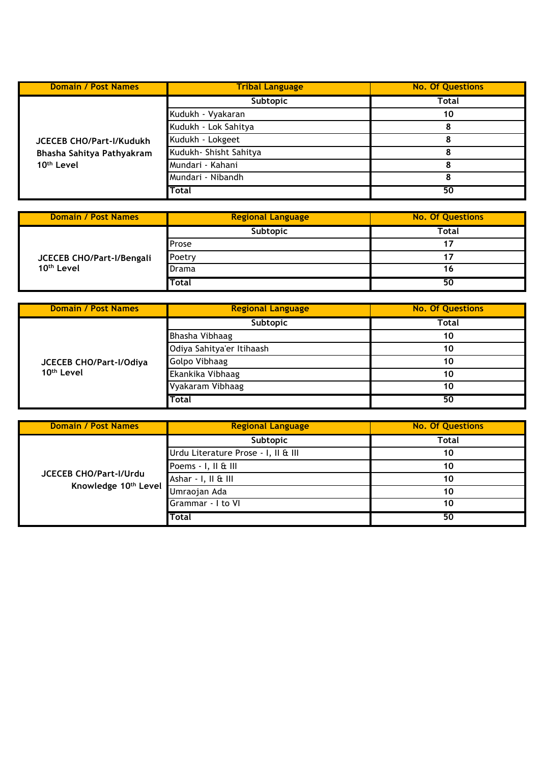| <b>Domain / Post Names</b>                                                             | <b>Tribal Language</b>  | <b>No. Of Questions</b> |
|----------------------------------------------------------------------------------------|-------------------------|-------------------------|
|                                                                                        | Subtopic                | Total                   |
|                                                                                        | Kudukh - Vyakaran       | 10                      |
|                                                                                        | Kudukh - Lok Sahitya    |                         |
| <b>JCECEB CHO/Part-I/Kudukh</b><br>Bhasha Sahitya Pathyakram<br>10 <sup>th</sup> Level | Kudukh - Lokgeet        |                         |
|                                                                                        | Kudukh - Shisht Sahitya |                         |
|                                                                                        | Mundari - Kahani        | Ω                       |
|                                                                                        | Mundari - Nibandh       |                         |
|                                                                                        | Total                   | 50                      |

| <b>Domain / Post Names</b>                          | <b>Regional Language</b> | <b>No. Of Questions</b> |
|-----------------------------------------------------|--------------------------|-------------------------|
| JCECEB CHO/Part-I/Bengali<br>10 <sup>th</sup> Level | Subtopic                 | Total                   |
|                                                     | Prose                    |                         |
|                                                     | Poetry                   |                         |
|                                                     | Drama                    |                         |
|                                                     | Total                    | 50                      |

| <b>Domain / Post Names</b>                        | <b>Regional Language</b>  | <b>No. Of Questions</b> |
|---------------------------------------------------|---------------------------|-------------------------|
| JCECEB CHO/Part-I/Odiya<br>10 <sup>th</sup> Level | Subtopic                  | Total                   |
|                                                   | Bhasha Vibhaag            | 10                      |
|                                                   | Odiya Sahitya'er Itihaash | 10                      |
|                                                   | <b>Golpo Vibhaag</b>      | 10                      |
|                                                   | Ekankika Vibhaag          | 10                      |
|                                                   | Vyakaram Vibhaag          | 10                      |
|                                                   | Total                     | 50                      |

| <b>Domain / Post Names</b>                     | <b>Regional Language</b>            | <b>No. Of Questions</b> |
|------------------------------------------------|-------------------------------------|-------------------------|
| JCECEB CHO/Part-I/Urdu<br>Knowledge 10th Level | Subtopic                            | Total                   |
|                                                | Urdu Literature Prose - I, II & III | 10                      |
|                                                | Poems - I, II & III                 | 10                      |
|                                                | Ashar - I, II & III                 | 10                      |
|                                                | Umraojan Ada                        | 10                      |
|                                                | Grammar - I to VI                   | 10                      |
|                                                | Total                               | 50                      |